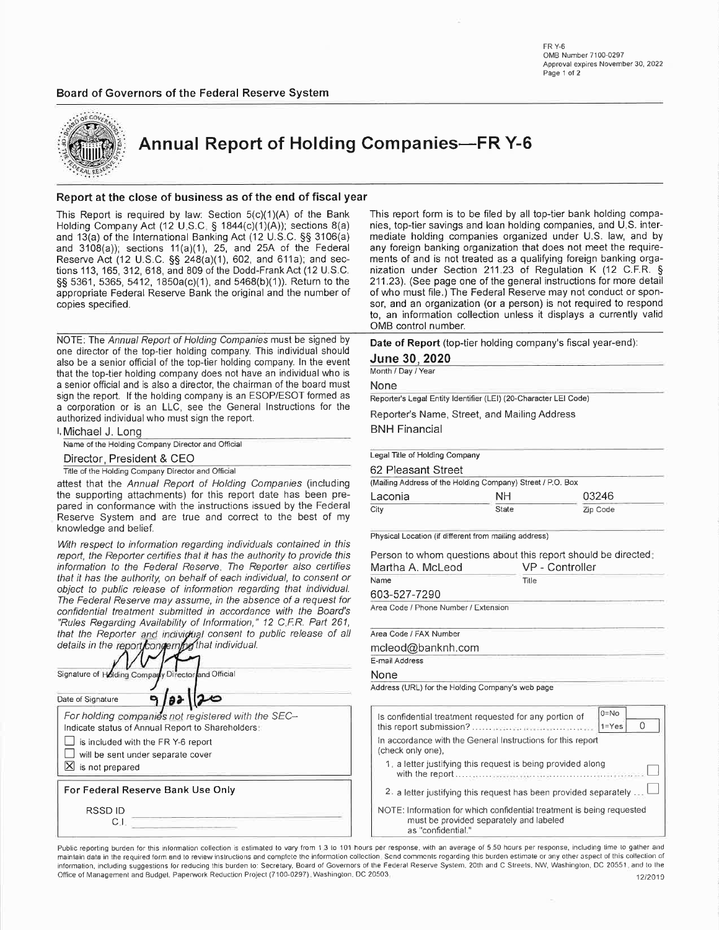Board of Governors of the Federal Reserve System



**Annual Report of Holding Companies-FR Y-6** 

### Report at the close of business as of the end of fiscal year

This Report is required by law: Section  $5(c)(1)(A)$  of the Bank Holding Company Act (12 U.S.C. § 1844(c)(1)(A)); sections 8(a) and 13(a) of the International Banking Act (12 U.S.C. §§ 3106(a) and  $3108(a)$ ; sections  $11(a)(1)$ , 25, and 25A of the Federal Reserve Act (12 U.S.C.  $\S$ § 248(a)(1), 602, and 611a); and sections 113, 165, 312, 618, and 809 of the Dodd-Frank Act (12 U.S.C. §§ 5361, 5365, 5412, 1850a(c)(1), and 5468(b)(1)). Return to the appropriate Federal Reserve Bank the original and the number of copies specified.

NOTE: The Annual Report of Holding Companies must be signed by one director of the top-tier holding company. This individual should also be a senior official of the top-tier holding company. In the event that the top-tier holding company does not have an individual who is a senior official and is also a director, the chairman of the board must sign the report. If the holding company is an ESOP/ESOT formed as a corporation or is an LLC, see the General Instructions for the authorized individual who must sign the report.

I. Michael J. Long

Name of the Holding Company Director and Official

#### Director, President & CEO

Title of the Holding Company Director and Official

attest that the Annual Report of Holding Companies (including the supporting attachments) for this report date has been prepared in conformance with the instructions issued by the Federal Reserve System and are true and correct to the best of my knowledge and belief.

With respect to information regarding individuals contained in this report, the Reporter certifies that it has the authority to provide this information to the Federal Reserve. The Reporter also certifies that it has the authority, on behalf of each individual, to consent or object to public release of information regarding that individual. The Federal Reserve may assume, in the absence of a request for confidential treatment submitted in accordance with the Board's "Rules Regarding Availability of Information," 12 C.F.R. Part 261, that the Reporter and individual consent to public release of all details in the report conservation of the individual.

| Signature of Holding Company Director and Official                                                     |  |                                                                                                         |  |
|--------------------------------------------------------------------------------------------------------|--|---------------------------------------------------------------------------------------------------------|--|
| Date of Signature                                                                                      |  |                                                                                                         |  |
| is included with the FR Y-6 report<br>will be sent under separate cover<br>$\boxtimes$ is not prepared |  | For holding companies not registered with the SEC-<br>Indicate status of Annual Report to Shareholders: |  |
| For Federal Reserve Bank Use Only                                                                      |  |                                                                                                         |  |
| RSSD ID                                                                                                |  |                                                                                                         |  |

This report form is to be filed by all top-tier bank holding companies, top-tier savings and loan holding companies, and U.S. intermediate holding companies organized under U.S. law, and by any foreign banking organization that does not meet the requirements of and is not treated as a qualifying foreign banking organization under Section 211.23 of Regulation K (12 C.F.R. § 211.23). (See page one of the general instructions for more detail of who must file.) The Federal Reserve may not conduct or sponsor, and an organization (or a person) is not required to respond to, an information collection unless it displays a currently valid OMB control number.

Date of Report (top-tier holding company's fiscal year-end):

#### June 30, 2020

Month / Day / Year

None

Reporter's Legal Entity Identifier (LEI) (20-Character LEI Code)

Reporter's Name, Street, and Mailing Address

**BNH Financial** 

#### Legal Title of Holding Company

62 Pleasant Street

| (Mailing Address of the Holding Company) Street / P.O. Box |       |          |  |
|------------------------------------------------------------|-------|----------|--|
| Laconia                                                    | NΗ    | 03246    |  |
| City                                                       | State | Zip Code |  |

Physical Location (if different from mailing address)

Person to whom questions about this report should be directed:

| VP - Controller |  |  |  |  |
|-----------------|--|--|--|--|
| Tille           |  |  |  |  |
|                 |  |  |  |  |
|                 |  |  |  |  |
|                 |  |  |  |  |
|                 |  |  |  |  |

Area Code / FAX Number

mcleod@banknh.com

### E-mail Address

None

Address (URL) for the Holding Company's web page

| Is confidential treatment requested for any portion of                                                                                 | $0 = No$<br>$1 = Yes$ |  |  |  |  |  |
|----------------------------------------------------------------------------------------------------------------------------------------|-----------------------|--|--|--|--|--|
| In accordance with the General Instructions for this report<br>(check only one),                                                       |                       |  |  |  |  |  |
| 1. a letter justifying this request is being provided along                                                                            |                       |  |  |  |  |  |
| 2. a letter justifying this request has been provided separately.                                                                      |                       |  |  |  |  |  |
| NOTE: Information for which confidential treatment is being requested<br>must be provided separately and labeled<br>as "confidential." |                       |  |  |  |  |  |

Public reporting burden for this information collection is estimated to vary from 1.3 to 101 hours per response, with an average of 5.50 hours per response, including time to gather and maintain data in the required form and to review instructions and complete the information collection. Send comments regarding this burden estimate or any other aspect of this collection of information, including suggestions for reducing this burden to: Secretary, Board of Governors of the Federal Reserve System, 20th and C Streets, NW, Washington, DC 20551, and to the Office of Management and Budget, Paperwork Reduction Project (7100-0297). Washington, DC 20503. 12/2019

FR Y-6 OMB Number 7100-0297 Approval expires November 30, 2022 Page 1 of 2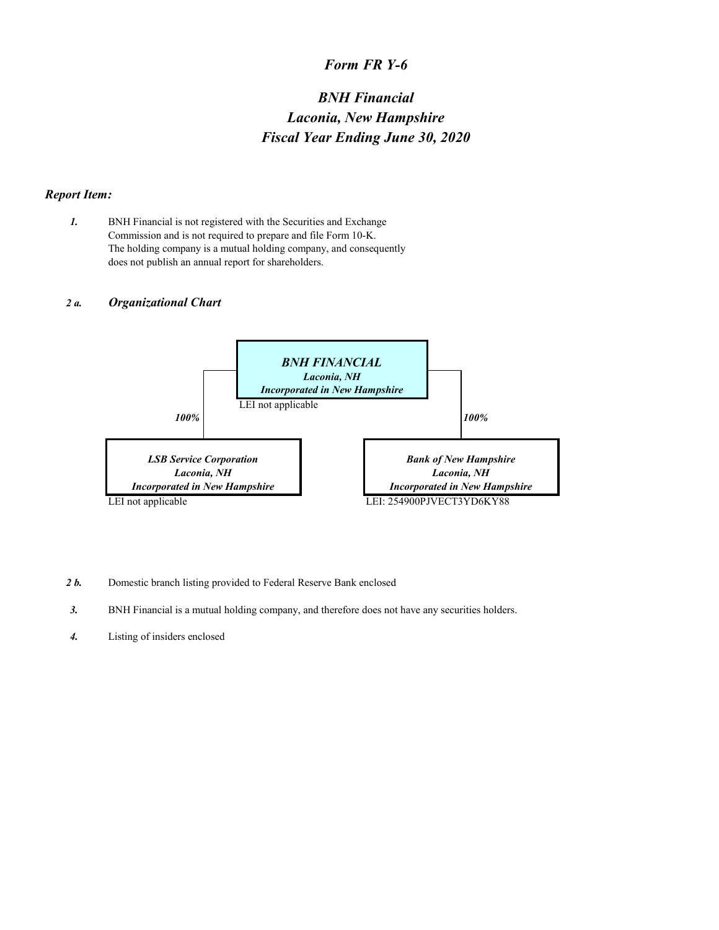## *Form FR Y-6*

# *BNH Financial Laconia, New Hampshire Fiscal Year Ending June 30, 2020*

### *Report Item:*

*1.* BNH Financial is not registered with the Securities and Exchange Commission and is not required to prepare and file Form 10-K. The holding company is a mutual holding company, and consequently does not publish an annual report for shareholders.

### *2 a. Organizational Chart*



- 2 b. Domestic branch listing provided to Federal Reserve Bank enclosed
- *3.* BNH Financial is a mutual holding company, and therefore does not have any securities holders.
- *4.* Listing of insiders enclosed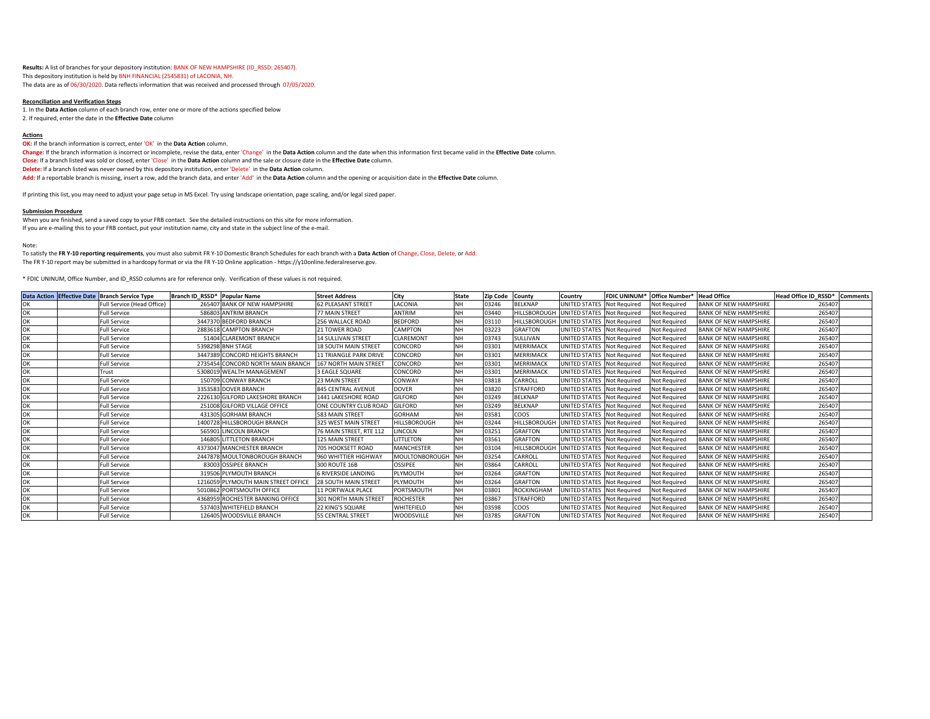**Results:** A list of branches for your depository institution: BANK OF NEW HAMPSHIRE (ID\_RSSD: 265407). This depository institution is held by BNH FINANCIAL (2545831) of LACONIA, NH. The data are as of 06/30/2020. Data reflects information that was received and processed through 07/05/2020.

#### **Reconciliation and Verification Steps**

1. In the **Data Action** column of each branch row, enter one or more of the actions specified below 2. If required, enter the date in the **Effective Date** column

#### **Actions**

**OK:** If the branch information is correct, enter 'OK' in the **Data Action** column. **Change:** If the branch information is incorrect or incomplete, revise the data, enter 'Change' in the **Data Action** column and the date when this information first became valid in the **Effective Date** column. **Close:** If a branch listed was sold or closed, enter 'Close' in the **Data Action** column and the sale or closure date in the **Effective Date** column. **Delete:** If a branch listed was never owned by this depository institution, enter 'Delete' in the **Data Action** column. **Add:** If a reportable branch is missing, insert a row, add the branch data, and enter 'Add' in the **Data Action** column and the opening or acquisition date in the **Effective Date** column.

If printing this list, you may need to adjust your page setup in MS Excel. Try using landscape orientation, page scaling, and/or legal sized paper.

#### **Submission Procedure**

When you are finished, send a saved copy to your FRB contact. See the detailed instructions on this site for more information. If you are e-mailing this to your FRB contact, put your institution name, city and state in the subject line of the e-mail.

#### Note:

To satisfy the **FR Y-10 reporting requirements**, you must also submit FR Y-10 Domestic Branch Schedules for each branch with a **Data Action** of Change, Close, Delete, or Add. The FR Y-10 report may be submitted in a hardcopy format or via the FR Y-10 Online application - https://y10online.federalreserve.gov.

\* FDIC UNINUM, Office Number, and ID\_RSSD columns are for reference only. Verification of these values is not required.

|  | Data Action Effective Date Branch Service Type | Branch ID RSSD* Popular Name |                                     | <b>Street Address</b>         | City                | <b>State</b> | <b>Zip Code</b> | County           | Country                    | <b>FDIC UNINUM*</b> | Office Number* | <b>Head Office</b>           | Head Office ID RSSD* Comments |  |
|--|------------------------------------------------|------------------------------|-------------------------------------|-------------------------------|---------------------|--------------|-----------------|------------------|----------------------------|---------------------|----------------|------------------------------|-------------------------------|--|
|  | Full Service (Head Office)                     |                              | 265407 BANK OF NEW HAMPSHIRE        | <b>62 PLEASANT STREET</b>     | LACONIA             | <b>NH</b>    | 03246           | <b>BELKNAP</b>   | UNITED STATES              | <b>Not Required</b> | Not Required   | <b>BANK OF NEW HAMPSHIRE</b> | 265407                        |  |
|  | <b>Full Service</b>                            |                              | 586803 ANTRIM BRANCH                | 77 MAIN STREET                | <b>ANTRIM</b>       | NH           | 03440           | HILLSBOROUGH     | UNITED STATES Not Required |                     | Not Required   | <b>BANK OF NEW HAMPSHIRE</b> | 265407                        |  |
|  | <b>Full Service</b>                            |                              | 3447370 BEDFORD BRANCH              | 256 WALLACE ROAD              | <b>BEDFORD</b>      | <b>NH</b>    | 03110           | HILLSBOROUGH     | UNITED STATES              | Not Required        | Not Required   | <b>BANK OF NEW HAMPSHIRE</b> | 265407                        |  |
|  | <b>Full Service</b>                            |                              | 2883618 CAMPTON BRANCH              | <b>21 TOWER ROAD</b>          | CAMPTON             | <b>NH</b>    | 03223           | <b>GRAFTON</b>   | UNITED STATES              | <b>Not Required</b> | Not Required   | <b>BANK OF NEW HAMPSHIRE</b> | 265407                        |  |
|  | <b>Full Service</b>                            |                              | 51404 CLAREMONT BRANCH              | <b>14 SULLIVAN STREET</b>     | CLAREMONT           | <b>NH</b>    | 03743           | SULLIVAN         | UNITED STATES Not Required |                     | Not Required   | <b>BANK OF NEW HAMPSHIRE</b> | 265407                        |  |
|  | <b>Full Service</b>                            |                              | 5398298 BNH STAGE                   | <b>18 SOUTH MAIN STREE</b>    | CONCORD             | <b>NH</b>    | 03301           | MERRIMACI        | UNITED STATES Not Required |                     | Not Required   | <b>BANK OF NEW HAMPSHIRE</b> | 265407                        |  |
|  | <b>Full Service</b>                            |                              | 3447389 CONCORD HEIGHTS BRANCH      | <b>11 TRIANGLE PARK DRIVE</b> | CONCORD             | <b>NH</b>    | 03301           | <b>MERRIMACK</b> | UNITED STATES Not Required |                     | Not Required   | <b>BANK OF NEW HAMPSHIRE</b> | 265407                        |  |
|  | <b>Full Service</b>                            |                              | 2735454 CONCORD NORTH MAIN BRANCH   | 167 NORTH MAIN STREET         | CONCORD             | <b>NH</b>    | 03301           | <b>MERRIMACK</b> | UNITED STATES              | <b>Not Required</b> | Not Required   | <b>BANK OF NEW HAMPSHIRE</b> | 265407                        |  |
|  | Trust                                          |                              | 5308019 WEALTH MANAGEMENT           | 3 EAGLE SQUARE                | CONCORD             | <b>NH</b>    | 03301           | <b>MERRIMACK</b> | UNITED STATES Not Required |                     | Not Required   | <b>BANK OF NEW HAMPSHIRE</b> | 265407                        |  |
|  | <b>Full Service</b>                            |                              | 150709 CONWAY BRANCH                | 23 MAIN STREET                | CONWAY              | <b>NH</b>    | 03818           | CARROLL          | UNITED STATES Not Required |                     | Not Required   | <b>BANK OF NEW HAMPSHIRE</b> | 265407                        |  |
|  | <b>Full Service</b>                            |                              | 3353583 DOVER BRANCH                | <b>845 CENTRAL AVENUE</b>     | <b>DOVER</b>        | <b>NH</b>    | 03820           | <b>STRAFFORD</b> | UNITED STATES Not Required |                     | Not Reguired   | <b>BANK OF NEW HAMPSHIRE</b> | 265407                        |  |
|  | <b>Full Service</b>                            |                              | 2226130 GILFORD LAKESHORE BRANCH    | 1441 LAKESHORE ROAD           | <b>GILFORD</b>      | <b>NH</b>    | 03249           | <b>BELKNAP</b>   | UNITED STATES              | <b>Not Required</b> | Not Required   | <b>BANK OF NEW HAMPSHIRE</b> | 265407                        |  |
|  | <b>Full Service</b>                            |                              | 251008 GILFORD VILLAGE OFFICE       | ONE COUNTRY CLUB ROAD         | <b>GILFORD</b>      | <b>NH</b>    | 03249           | <b>BELKNAP</b>   | UNITED STATES Not Required |                     | Not Required   | <b>BANK OF NEW HAMPSHIRE</b> | 265407                        |  |
|  | <b>Full Service</b>                            |                              | 431305 GORHAM BRANCH                | 583 MAIN STREET               | <b>GORHAM</b>       | <b>NH</b>    | 03581           | coos             | UNITED STATES Not Required |                     | Not Required   | <b>BANK OF NEW HAMPSHIRE</b> | 265407                        |  |
|  | <b>Full Service</b>                            |                              | 1400728 HILLSBOROUGH BRANCH         | 325 WEST MAIN STREET          | <b>HILLSBOROUGH</b> | <b>NH</b>    | 03244           | HILLSBOROUGH     | UNITED STATES Not Required |                     | Not Required   | <b>BANK OF NEW HAMPSHIRE</b> | 265407                        |  |
|  | <b>Full Service</b>                            |                              | 565901 LINCOLN BRANCH               | 76 MAIN STREET. RTE 112       | LINCOLN             | <b>NH</b>    | 03251           | <b>GRAFTON</b>   | UNITED STATES Not Required |                     | Not Required   | <b>BANK OF NEW HAMPSHIRE</b> | 265407                        |  |
|  | <b>Full Service</b>                            |                              | 146805 LITTLETON BRANCH             | <b>125 MAIN STREET</b>        | <b>LITTLETON</b>    | <b>NH</b>    | 03561           | <b>GRAFTON</b>   | UNITED STATES Not Required |                     | Not Required   | <b>BANK OF NEW HAMPSHIRE</b> | 265407                        |  |
|  | <b>Full Service</b>                            |                              | 4373047 MANCHESTER BRANCH           | 705 HOOKSETT ROAD             | <b>MANCHESTER</b>   | <b>NH</b>    | 03104           | HILLSBOROUGH     | UNITED STATES              | Not Required        | Not Required   | <b>BANK OF NEW HAMPSHIRE</b> | 265407                        |  |
|  | <b>Full Service</b>                            |                              | 2447878 MOULTONBOROUGH BRANCH       | 960 WHITTIER HIGHWAY          | MOULTONBOROUGH NH   |              | 03254           | CARROLL          | UNITED STATES Not Required |                     | Not Required   | <b>BANK OF NEW HAMPSHIRE</b> | 265407                        |  |
|  | <b>Full Service</b>                            |                              | 83003 OSSIPEE BRANCH                | <b>300 ROUTE 16B</b>          | <b>OSSIPEE</b>      |              | 03864           | CARROLL          | UNITED STATES              | <b>Not Required</b> | Not Required   | <b>BANK OF NEW HAMPSHIRE</b> | 265407                        |  |
|  | <b>Full Service</b>                            |                              | 319506 PLYMOUTH BRANCH              | <b>6 RIVERSIDE LANDING</b>    | PLYMOUTH            | <b>NH</b>    | 03264           | <b>GRAFTON</b>   | UNITED STATES Not Required |                     | Not Required   | <b>BANK OF NEW HAMPSHIRE</b> | 265407                        |  |
|  | <b>Full Service</b>                            |                              | 1216059 PLYMOUTH MAIN STREET OFFICE | <b>28 SOUTH MAIN STREET</b>   | PLYMOUTH            | <b>NH</b>    | 03264           | <b>GRAFTON</b>   | UNITED STATES Not Required |                     | Not Required   | <b>BANK OF NEW HAMPSHIRE</b> | 265407                        |  |
|  | <b>Full Service</b>                            |                              | 5010862 PORTSMOUTH OFFICE           | <b>11 PORTWALK PLACE</b>      | PORTSMOUTH          | <b>NH</b>    | 03801           | ROCKINGHAM       | UNITED STATES Not Required |                     | Not Required   | <b>BANK OF NEW HAMPSHIRE</b> | 265407                        |  |
|  | <b>Full Service</b>                            |                              | 4368959 ROCHESTER BANKING OFFICE    | 301 NORTH MAIN STREET         | <b>ROCHESTER</b>    | <b>NH</b>    | 03867           | <b>STRAFFORD</b> | UNITED STATES              | <b>Not Required</b> | Not Required   | <b>BANK OF NEW HAMPSHIRE</b> | 265407                        |  |
|  | <b>Full Service</b>                            |                              | 537403 WHITEFIELD BRANCH            | 22 KING'S SQUARE              | WHITEFIELD          | <b>NH</b>    | 03598           | COOS             | UNITED STATES Not Required |                     | Not Required   | <b>BANK OF NEW HAMPSHIRE</b> | 265407                        |  |
|  | <b>Full Service</b>                            |                              | 126405 WOODSVILLE BRANCH            | <b>55 CENTRAL STREET</b>      | WOODSVILLE          | <b>NH</b>    | 03785           | <b>GRAFTON</b>   | UNITED STATES Not Required |                     | Not Required   | <b>BANK OF NEW HAMPSHIRE</b> | 265407                        |  |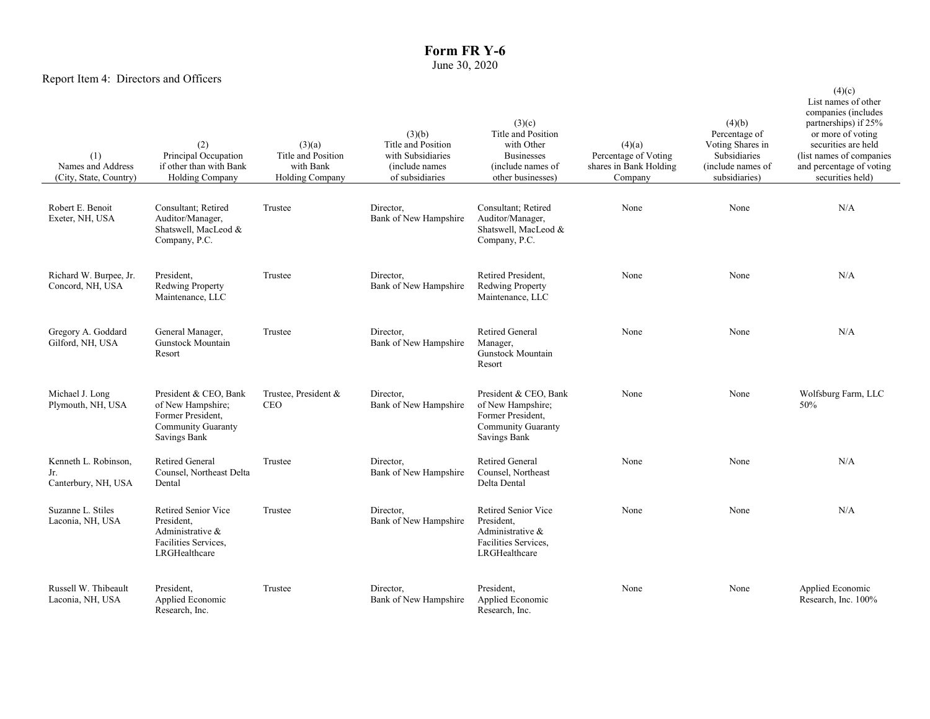## **Form FR Y-6** June 30, 2020

## Report Item 4: Directors and Officers

| (1)<br>Names and Address<br>(City, State, Country) | (2)<br>Principal Occupation<br>if other than with Bank<br><b>Holding Company</b>                                    | (3)(a)<br>Title and Position<br>with Bank<br><b>Holding Company</b> | (3)(b)<br>Title and Position<br>with Subsidiaries<br>(include names)<br>of subsidiaries | (3)(c)<br>Title and Position<br>with Other<br><b>Businesses</b><br>(include names of<br>other businesses)           | (4)(a)<br>Percentage of Voting<br>shares in Bank Holding<br>Company | (4)(b)<br>Percentage of<br>Voting Shares in<br>Subsidiaries<br>(include names of<br>subsidiaries) | (4)(c)<br>List names of other<br>companies (includes<br>partnerships) if 25%<br>or more of voting<br>securities are held<br>(list names of companies<br>and percentage of voting<br>securities held) |
|----------------------------------------------------|---------------------------------------------------------------------------------------------------------------------|---------------------------------------------------------------------|-----------------------------------------------------------------------------------------|---------------------------------------------------------------------------------------------------------------------|---------------------------------------------------------------------|---------------------------------------------------------------------------------------------------|------------------------------------------------------------------------------------------------------------------------------------------------------------------------------------------------------|
| Robert E. Benoit<br>Exeter, NH, USA                | Consultant; Retired<br>Auditor/Manager,<br>Shatswell, MacLeod &<br>Company, P.C.                                    | Trustee                                                             | Director,<br>Bank of New Hampshire                                                      | Consultant; Retired<br>Auditor/Manager,<br>Shatswell, MacLeod &<br>Company, P.C.                                    | None                                                                | None                                                                                              | N/A                                                                                                                                                                                                  |
| Richard W. Burpee, Jr.<br>Concord, NH, USA         | President,<br><b>Redwing Property</b><br>Maintenance, LLC                                                           | Trustee                                                             | Director.<br>Bank of New Hampshire                                                      | Retired President,<br><b>Redwing Property</b><br>Maintenance, LLC                                                   | None                                                                | None                                                                                              | N/A                                                                                                                                                                                                  |
| Gregory A. Goddard<br>Gilford, NH, USA             | General Manager,<br>Gunstock Mountain<br>Resort                                                                     | Trustee                                                             | Director.<br>Bank of New Hampshire                                                      | <b>Retired General</b><br>Manager,<br>Gunstock Mountain<br>Resort                                                   | None                                                                | None                                                                                              | N/A                                                                                                                                                                                                  |
| Michael J. Long<br>Plymouth, NH, USA               | President & CEO, Bank<br>of New Hampshire;<br>Former President,<br><b>Community Guaranty</b><br><b>Savings Bank</b> | Trustee, President &<br><b>CEO</b>                                  | Director,<br>Bank of New Hampshire                                                      | President & CEO, Bank<br>of New Hampshire;<br>Former President,<br><b>Community Guaranty</b><br><b>Savings Bank</b> | None                                                                | None                                                                                              | Wolfsburg Farm, LLC<br>50%                                                                                                                                                                           |
| Kenneth L. Robinson,<br>Jr.<br>Canterbury, NH, USA | <b>Retired General</b><br>Counsel, Northeast Delta<br>Dental                                                        | Trustee                                                             | Director.<br>Bank of New Hampshire                                                      | <b>Retired General</b><br>Counsel, Northeast<br>Delta Dental                                                        | None                                                                | None                                                                                              | N/A                                                                                                                                                                                                  |
| Suzanne L. Stiles<br>Laconia, NH, USA              | Retired Senior Vice<br>President,<br>Administrative &<br>Facilities Services,<br>LRGHealthcare                      | Trustee                                                             | Director.<br>Bank of New Hampshire                                                      | Retired Senior Vice<br>President,<br>Administrative &<br>Facilities Services,<br>LRGHealthcare                      | None                                                                | None                                                                                              | N/A                                                                                                                                                                                                  |
| Russell W. Thibeault<br>Laconia, NH, USA           | President,<br>Applied Economic<br>Research, Inc.                                                                    | Trustee                                                             | Director.<br>Bank of New Hampshire                                                      | President,<br>Applied Economic<br>Research, Inc.                                                                    | None                                                                | None                                                                                              | Applied Economic<br>Research, Inc. 100%                                                                                                                                                              |